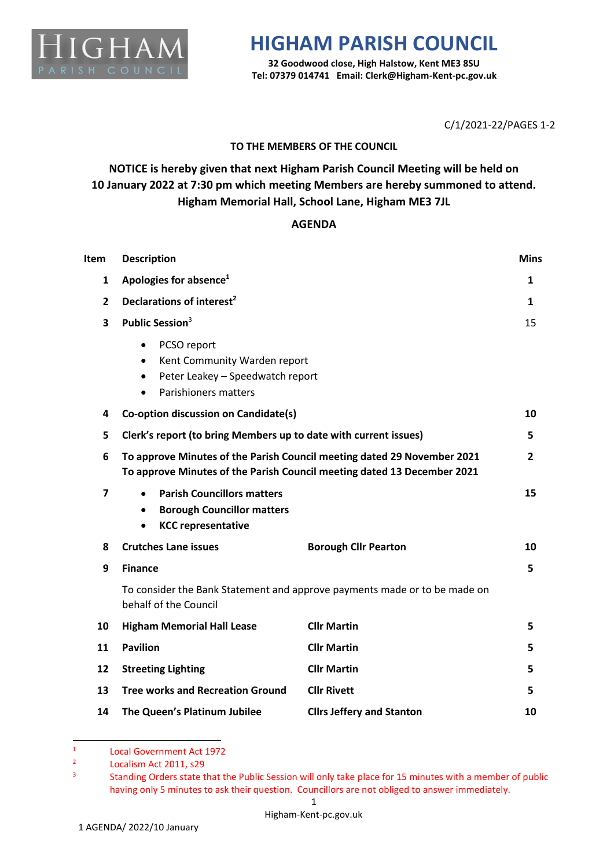

## **HIGHAM PARISH COUNCIL**

**32 Goodwood close, High Halstow, Kent ME3 8SU Tel: 07379 014741 Email: Clerk@Higham-Kent-pc.gov.uk**

C/1/2021-22/PAGES 1-2

## **TO THE MEMBERS OF THE COUNCIL**

**NOTICE is hereby given that next Higham Parish Council Meeting will be held on 10 January 2022 at 7:30 pm which meeting Members are hereby summoned to attend. Higham Memorial Hall, School Lane, Higham ME3 7JL**

## **AGENDA**

| Item           | <b>Description</b>                                                                                                                                  |                                  | <b>Mins</b>    |
|----------------|-----------------------------------------------------------------------------------------------------------------------------------------------------|----------------------------------|----------------|
| 1              | Apologies for absence <sup>1</sup>                                                                                                                  |                                  | 1              |
| $\mathbf{2}$   | Declarations of interest <sup>2</sup>                                                                                                               |                                  | 1              |
| 3              | Public Session <sup>3</sup>                                                                                                                         |                                  | 15             |
|                | PCSO report<br>٠<br>Kent Community Warden report<br>$\bullet$<br>Peter Leakey - Speedwatch report<br>$\bullet$<br>Parishioners matters<br>$\bullet$ |                                  |                |
| 4              | Co-option discussion on Candidate(s)                                                                                                                |                                  | 10             |
| 5              | Clerk's report (to bring Members up to date with current issues)                                                                                    |                                  | 5              |
| 6              | To approve Minutes of the Parish Council meeting dated 29 November 2021<br>To approve Minutes of the Parish Council meeting dated 13 December 2021  |                                  | $\overline{2}$ |
| $\overline{7}$ | <b>Parish Councillors matters</b><br>$\bullet$<br><b>Borough Councillor matters</b><br>$\bullet$<br><b>KCC representative</b><br>$\bullet$          |                                  | 15             |
| 8              | <b>Crutches Lane issues</b>                                                                                                                         | <b>Borough Cllr Pearton</b>      | 10             |
| 9              | <b>Finance</b>                                                                                                                                      |                                  | 5.             |
|                | To consider the Bank Statement and approve payments made or to be made on<br>behalf of the Council                                                  |                                  |                |
| 10             | <b>Higham Memorial Hall Lease</b>                                                                                                                   | <b>Cllr Martin</b>               | 5.             |
| 11             | <b>Pavilion</b>                                                                                                                                     | <b>Cllr Martin</b>               | 5.             |
| 12             | <b>Streeting Lighting</b>                                                                                                                           | <b>Cllr Martin</b>               | 5.             |
| 13             | <b>Tree works and Recreation Ground</b>                                                                                                             | <b>Cllr Rivett</b>               | 5              |
| 14             | The Queen's Platinum Jubilee                                                                                                                        | <b>Cllrs Jeffery and Stanton</b> | 10             |

<sup>1</sup> Local Government Act 1972

<sup>2</sup> Localism Act 2011, s29

<sup>3</sup> Standing Orders state that the Public Session will only take place for 15 minutes with a member of public having only 5 minutes to ask their question. Councillors are not obliged to answer immediately.